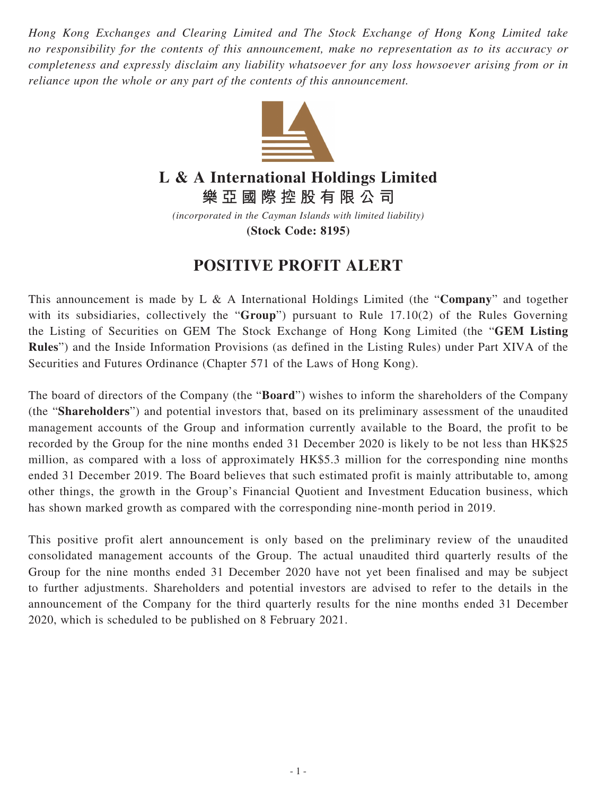*Hong Kong Exchanges and Clearing Limited and The Stock Exchange of Hong Kong Limited take no responsibility for the contents of this announcement, make no representation as to its accuracy or completeness and expressly disclaim any liability whatsoever for any loss howsoever arising from or in reliance upon the whole or any part of the contents of this announcement.*



## **L & A International Holdings Limited**

**樂亞國際控股有限公司**

*(incorporated in the Cayman Islands with limited liability)* **(Stock Code: 8195)**

## **POSITIVE PROFIT ALERT**

This announcement is made by L & A International Holdings Limited (the "**Company**" and together with its subsidiaries, collectively the "**Group**") pursuant to Rule 17.10(2) of the Rules Governing the Listing of Securities on GEM The Stock Exchange of Hong Kong Limited (the "**GEM Listing Rules**") and the Inside Information Provisions (as defined in the Listing Rules) under Part XIVA of the Securities and Futures Ordinance (Chapter 571 of the Laws of Hong Kong).

The board of directors of the Company (the "**Board**") wishes to inform the shareholders of the Company (the "**Shareholders**") and potential investors that, based on its preliminary assessment of the unaudited management accounts of the Group and information currently available to the Board, the profit to be recorded by the Group for the nine months ended 31 December 2020 is likely to be not less than HK\$25 million, as compared with a loss of approximately HK\$5.3 million for the corresponding nine months ended 31 December 2019. The Board believes that such estimated profit is mainly attributable to, among other things, the growth in the Group's Financial Quotient and Investment Education business, which has shown marked growth as compared with the corresponding nine-month period in 2019.

This positive profit alert announcement is only based on the preliminary review of the unaudited consolidated management accounts of the Group. The actual unaudited third quarterly results of the Group for the nine months ended 31 December 2020 have not yet been finalised and may be subject to further adjustments. Shareholders and potential investors are advised to refer to the details in the announcement of the Company for the third quarterly results for the nine months ended 31 December 2020, which is scheduled to be published on 8 February 2021.